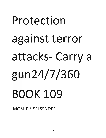# Protection against terror attacks- Carry a gun24/7/360 BOOK 109

MOSHE SISELSENDER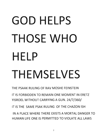### GOD **HELPS**  THOSE WHO **HELP**  THEMSELVES

THE PSAAK RULING OF RAV MOSHE FEINSTEIN

IT IS FORBIDDEN TO REMAIN ONE MOMENT IN ERETZ YISROEL WITHOUT CARRYING A GUN. 24/7/360/

IT IS THE SAME PSAK RULING OF THE CHAZON ISH

IN A PLACE WHERE THERE EXISTS A MORTAL DANGER TO HUMAN LIFE ONE IS PERMITIED TO VIOLATE ALL LAWS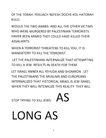OF THE TORAH. PEKUACH NEFESH DOCHE KOL HATORAH KULO.

WOULD THE TWO RABBIS AND ALL THE OTHER VICTIMS WHO WERE MURDERED BY PALESTINIAN TERRORISTS HAVER BEEN ARMED THEY COULD HAVE KILLED THEIR ASSALIANTS.

WHEN A TERRORIST THREATENS TO KILL YOU, IT IS MANDATORY TO KILL THE TERRORIST.

LET THE PALESTINIANS INTERNALIZE THAT ATIEMPTING TO KILL A JEW RESULTS IN DEATH FOR THEM.

LET ISRAEL ANNEX ALL YEHUDA AND SHOMRON . LET THE PALESTINIANS THE MUSLIMS AND EUROPEANS INTERNALIZED THAT HISTORICAL ISRAEL IS JEW ISRAEL. WHEN THEY WILL INTENALIZE THIS REALITY THEY WILL

STOP TRYING TO KILL JEWS.  $\text{AS}$ 

LONG AS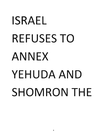## **ISRAEL REFUSES** TO ANNEX YEHUDA AND SHOMRON THE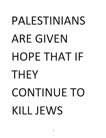## PALESTINIANS ARE GIVEN HOPE THAT **IF**  THEY CONTINUE TO **KILL** JEWS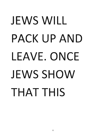### JEWS WILL PACK UP AND LEAVE. ONCE JEWS SHOW THAT THIS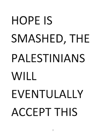# HOPE IS SMASHED, THE PALESTINIANS WILL EVENTULALLY ACCEPT THIS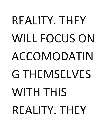## REALITY. THEY WILL FOCUS ON ACCOMODATIN G THEMSELVES WITH THIS REALITY. THEY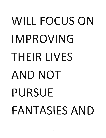# WILL FOCUS ON IMPROVING THEIR LIVES AND NOT PURSUE FANTASIES AND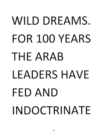# WILD DREAMS. FOR 100 YEARS THE ARAB LEADERS HAVE FED AND INDOCTRINATE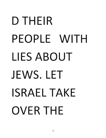## D THEIR PEOPLE WITH LIES ABOUT JEWS. LET ISRAEL TAKE OVER THE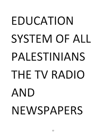# EDUCATION SYSTEM OF ALL PALESTINIANS THE TV RADIO AND NEWSPAPERS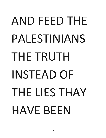### AND FEED THE PALESTINIANS THE TRUTH INSTEAD OF THE LIES THAY HAVE BEEN